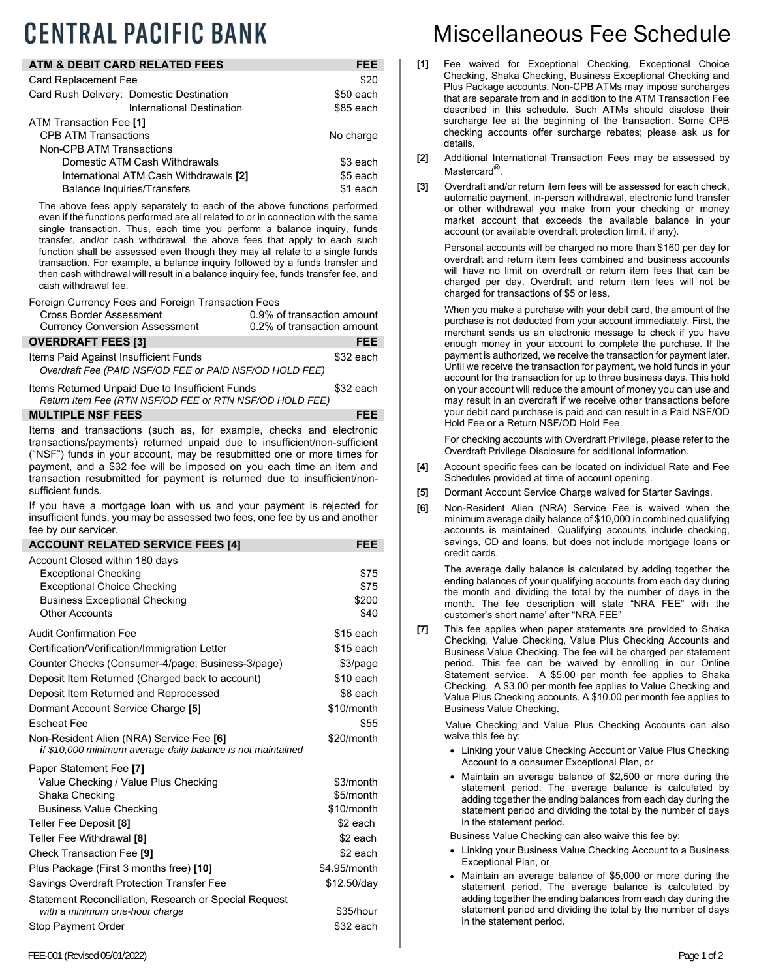## **CENTRAL PACIFIC BANK**

| ATM & DEBIT CARD RELATED FEES            | FEE       |
|------------------------------------------|-----------|
| <b>Card Replacement Fee</b>              | \$20      |
| Card Rush Delivery: Domestic Destination | \$50 each |
| International Destination                | \$85 each |
| ATM Transaction Fee [1]                  |           |
| <b>CPB ATM Transactions</b>              | No charge |
| Non-CPB ATM Transactions                 |           |
| Domestic ATM Cash Withdrawals            | \$3 each  |
| International ATM Cash Withdrawals [2]   | \$5 each  |
| <b>Balance Inquiries/Transfers</b>       | \$1 each  |

The above fees apply separately to each of the above functions performed even if the functions performed are all related to or in connection with the same single transaction. Thus, each time you perform a balance inquiry, funds transfer, and/or cash withdrawal, the above fees that apply to each such function shall be assessed even though they may all relate to a single funds transaction. For example, a balance inquiry followed by a funds transfer and then cash withdrawal will result in a balance inquiry fee, funds transfer fee, and cash withdrawal fee.

Foreign Currency Fees and Foreign Transaction Fees

| Cross Border Assessment               | 0.9% of transaction amount |
|---------------------------------------|----------------------------|
| <b>Currency Conversion Assessment</b> | 0.2% of transaction amount |
| <b>OVERDRAFT FEES [3]</b>             | <b>FEE</b>                 |
|                                       |                            |

Items Paid Against Insufficient Funds **\$32 each**  *Overdraft Fee (PAID NSF/OD FEE or PAID NSF/OD HOLD FEE)* 

Items Returned Unpaid Due to Insufficient Funds \$32 each *Return Item Fee (RTN NSF/OD FEE or RTN NSF/OD HOLD FEE)* 

## **MULTIPLE NSF FEES FEE**

Items and transactions (such as, for example, checks and electronic transactions/payments) returned unpaid due to insufficient/non-sufficient ("NSF") funds in your account, may be resubmitted one or more times for payment, and a \$32 fee will be imposed on you each time an item and transaction resubmitted for payment is returned due to insufficient/nonsufficient funds.

If you have a mortgage loan with us and your payment is rejected for insufficient funds, you may be assessed two fees, one fee by us and another fee by our servicer.

| <b>ACCOUNT RELATED SERVICE FEES [4]</b>                     | FEE           |
|-------------------------------------------------------------|---------------|
| Account Closed within 180 days                              |               |
| <b>Exceptional Checking</b>                                 | \$75          |
| <b>Exceptional Choice Checking</b>                          | \$75<br>\$200 |
| <b>Business Exceptional Checking</b><br>Other Accounts      | \$40          |
|                                                             |               |
| <b>Audit Confirmation Fee</b>                               | \$15 each     |
| Certification/Verification/Immigration Letter               | $$15$ each    |
| Counter Checks (Consumer-4/page; Business-3/page)           | \$3/page      |
| Deposit Item Returned (Charged back to account)             | $$10$ each    |
| Deposit Item Returned and Reprocessed                       | \$8 each      |
| Dormant Account Service Charge [5]                          | \$10/month    |
| <b>Escheat Fee</b>                                          | \$55          |
| Non-Resident Alien (NRA) Service Fee [6]                    | \$20/month    |
| if \$10,000 minimum average daily balance is not maintained |               |
| Paper Statement Fee [7]                                     |               |
| Value Checking / Value Plus Checking                        | \$3/month     |
| Shaka Checking                                              | \$5/month     |
| <b>Business Value Checking</b>                              | \$10/month    |
| Teller Fee Deposit [8]                                      | \$2 each      |
| Teller Fee Withdrawal [8]                                   | \$2 each      |
| Check Transaction Fee [9]                                   | \$2 each      |
| Plus Package (First 3 months free) [10]                     | \$4.95/month  |
| Savings Overdraft Protection Transfer Fee                   | \$12.50/day   |
| Statement Reconciliation, Research or Special Request       |               |
| with a minimum one-hour charge                              | \$35/hour     |
| Stop Payment Order                                          | \$32 each     |
|                                                             |               |

## Miscellaneous Fee Schedule

- [1] Fee waived for Exceptional Checking, Exceptional Choice Checking, Shaka Checking, Business Exceptional Checking and Plus Package accounts. Non-CPB ATMs may impose surcharges that are separate from and in addition to the ATM Transaction Fee described in this schedule. Such ATMs should disclose their surcharge fee at the beginning of the transaction. Some CPB checking accounts offer surcharge rebates; please ask us for details.
- **[2]** Additional International Transaction Fees may be assessed by Mastercard<sup>®</sup>.
- **[3]** Overdraft and/or return item fees will be assessed for each check, automatic payment, in-person withdrawal, electronic fund transfer or other withdrawal you make from your checking or money market account that exceeds the available balance in your account (or available overdraft protection limit, if any).

 Personal accounts will be charged no more than \$160 per day for overdraft and return item fees combined and business accounts will have no limit on overdraft or return item fees that can be charged per day. Overdraft and return item fees will not be charged for transactions of \$5 or less.

 When you make a purchase with your debit card, the amount of the purchase is not deducted from your account immediately. First, the merchant sends us an electronic message to check if you have enough money in your account to complete the purchase. If the payment is authorized, we receive the transaction for payment later. Until we receive the transaction for payment, we hold funds in your account for the transaction for up to three business days. This hold on your account will reduce the amount of money you can use and may result in an overdraft if we receive other transactions before your debit card purchase is paid and can result in a Paid NSF/OD Hold Fee or a Return NSF/OD Hold Fee.

 For checking accounts with Overdraft Privilege, please refer to the Overdraft Privilege Disclosure for additional information.

- **[4]** Account specific fees can be located on individual Rate and Fee Schedules provided at time of account opening.
- **[5]** Dormant Account Service Charge waived for Starter Savings.
- **[6]** Non-Resident Alien (NRA) Service Fee is waived when the minimum average daily balance of \$10,000 in combined qualifying accounts is maintained. Qualifying accounts include checking, savings, CD and loans, but does not include mortgage loans or credit cards.

 The average daily balance is calculated by adding together the ending balances of your qualifying accounts from each day during the month and dividing the total by the number of days in the month. The fee description will state "NRA FEE" with the customer's short name' after "NRA FEE"

**[7]** This fee applies when paper statements are provided to Shaka Checking, Value Checking, Value Plus Checking Accounts and Business Value Checking. The fee will be charged per statement period. This fee can be waived by enrolling in our Online Statement service. A \$5.00 per month fee applies to Shaka Checking. A \$3.00 per month fee applies to Value Checking and Value Plus Checking accounts. A \$10.00 per month fee applies to Business Value Checking.

Value Checking and Value Plus Checking Accounts can also waive this fee by:

- Linking your Value Checking Account or Value Plus Checking Account to a consumer Exceptional Plan, or
- Maintain an average balance of \$2,500 or more during the statement period. The average balance is calculated by adding together the ending balances from each day during the statement period and dividing the total by the number of days in the statement period.

Business Value Checking can also waive this fee by:

- Linking your Business Value Checking Account to a Business Exceptional Plan, or
- Maintain an average balance of \$5,000 or more during the statement period. The average balance is calculated by adding together the ending balances from each day during the statement period and dividing the total by the number of days in the statement period.